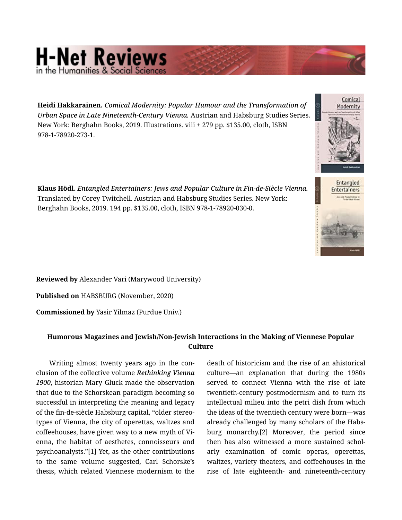## **H-Net Reviews**

Heidi Hakkarainen. *Comical Modernity: Popular Humour and the Transformation of Urban Space in Late Nineteenth-Century Vienna.* Austrian and Habsburg Studies Series. New York: Berghahn Books, 2019. Illustrations. viii + 279 pp. \$135.00, cloth, ISBN 978-1-78920-273-1.

Klaus Hödl. *Entangled Entertainers: Jews and Popular Culture in Fin-de-Siècle Vienna.*  Translated by Corey Twitchell. Austrian and Habsburg Studies Series. New York: Berghahn Books, 2019. 194 pp. \$135.00, cloth, ISBN 978-1-78920-030-0.

Reviewed by Alexander Vari (Marywood University)

Published on HABSBURG (November, 2020)

Commissioned by Yasir Yilmaz (Purdue Univ.)

## Humorous Magazines and Jewish/Non-Jewish Interactions in the Making of Viennese Popular **Culture**

Writing almost twenty years ago in the con‐ clusion of the collective volume *Rethinking Vienna 1900*, historian Mary Gluck made the observation that due to the Schorskean paradigm becoming so successful in interpreting the meaning and legacy of the fin-de-siècle Habsburg capital, "older stereo‐ types of Vienna, the city of operettas, waltzes and coffeehouses, have given way to a new myth of Vi‐ enna, the habitat of aesthetes, connoisseurs and psychoanalysts."[1] Yet, as the other contributions to the same volume suggested, Carl Schorske's thesis, which related Viennese modernism to the

death of historicism and the rise of an ahistorical culture—an explanation that during the 1980s served to connect Vienna with the rise of late twentieth-century postmodernism and to turn its intellectual milieu into the petri dish from which the ideas of the twentieth century were born—was already challenged by many scholars of the Habs‐ burg monarchy.[2] Moreover, the period since then has also witnessed a more sustained schol‐ arly examination of comic operas, operettas, waltzes, variety theaters, and coffeehouses in the rise of late eighteenth- and nineteenth-century



Comical lodernity

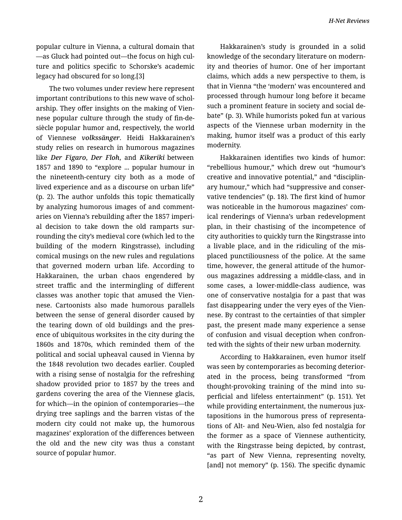*H-Net Reviews*

popular culture in Vienna, a cultural domain that —as Gluck had pointed out—the focus on high cul‐ ture and politics specific to Schorske's academic legacy had obscured for so long.[3]

The two volumes under review here represent important contributions to this new wave of schol‐ arship. They offer insights on the making of Vien‐ nese popular culture through the study of fin-desiècle popular humor and, respectively, the world of Viennese *volkssänger*. Heidi Hakkarainen's study relies on research in humorous magazines like *Der Figaro*, *Der Floh*, and *Kikeriki* between 1857 and 1890 to "explore ... popular humour in the nineteenth-century city both as a mode of lived experience and as a discourse on urban life" (p. 2). The author unfolds this topic thematically by analyzing humorous images of and comment‐ aries on Vienna's rebuilding after the 1857 imperi‐ al decision to take down the old ramparts sur‐ rounding the city's medieval core (which led to the building of the modern Ringstrasse), including comical musings on the new rules and regulations that governed modern urban life. According to Hakkarainen, the urban chaos engendered by street traffic and the intermingling of different classes was another topic that amused the Vien‐ nese. Cartoonists also made humorous parallels between the sense of general disorder caused by the tearing down of old buildings and the pres‐ ence of ubiquitous worksites in the city during the 1860s and 1870s, which reminded them of the political and social upheaval caused in Vienna by the 1848 revolution two decades earlier. Coupled with a rising sense of nostalgia for the refreshing shadow provided prior to 1857 by the trees and gardens covering the area of the Viennese glacis, for which—in the opinion of contemporaries—the drying tree saplings and the barren vistas of the modern city could not make up, the humorous magazines' exploration of the differences between the old and the new city was thus a constant source of popular humor.

Hakkarainen's study is grounded in a solid knowledge of the secondary literature on modern‐ ity and theories of humor. One of her important claims, which adds a new perspective to them, is that in Vienna "the 'modern' was encountered and processed through humour long before it became such a prominent feature in society and social de‐ bate" (p. 3). While humorists poked fun at various aspects of the Viennese urban modernity in the making, humor itself was a product of this early modernity.

Hakkarainen identifies two kinds of humor: "rebellious humour," which drew out "humour's creative and innovative potential," and "disciplin‐ ary humour," which had "suppressive and conser‐ vative tendencies" (p. 18). The first kind of humor was noticeable in the humorous magazines' com‐ ical renderings of Vienna's urban redevelopment plan, in their chastising of the incompetence of city authorities to quickly turn the Ringstrasse into a livable place, and in the ridiculing of the mis‐ placed punctiliousness of the police. At the same time, however, the general attitude of the humorous magazines addressing a middle-class, and in some cases, a lower-middle-class audience, was one of conservative nostalgia for a past that was fast disappearing under the very eyes of the Vien‐ nese. By contrast to the certainties of that simpler past, the present made many experience a sense of confusion and visual deception when confron‐ ted with the sights of their new urban modernity.

According to Hakkarainen, even humor itself was seen by contemporaries as becoming deterior‐ ated in the process, being transformed "from thought-provoking training of the mind into su‐ perficial and lifeless entertainment" (p. 151). Yet while providing entertainment, the numerous juxtapositions in the humorous press of representa‐ tions of Alt- and Neu-Wien, also fed nostalgia for the former as a space of Viennese authenticity, with the Ringstrasse being depicted, by contrast, "as part of New Vienna, representing novelty, [and] not memory" (p. 156). The specific dynamic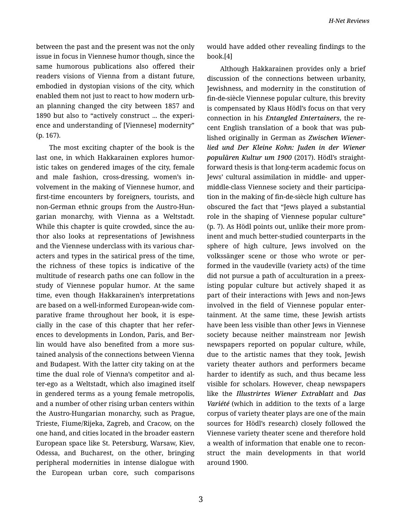between the past and the present was not the only issue in focus in Viennese humor though, since the same humorous publications also offered their readers visions of Vienna from a distant future, embodied in dystopian visions of the city, which enabled them not just to react to how modern urb‐ an planning changed the city between 1857 and 1890 but also to "actively construct ... the experi‐ ence and understanding of [Viennese] modernity" (p. 167).

The most exciting chapter of the book is the last one, in which Hakkarainen explores humor‐ istic takes on gendered images of the city, female and male fashion, cross-dressing, women's in‐ volvement in the making of Viennese humor, and first-time encounters by foreigners, tourists, and non-German ethnic groups from the Austro-Hun‐ garian monarchy, with Vienna as a Weltstadt. While this chapter is quite crowded, since the author also looks at representations of Jewishness and the Viennese underclass with its various char‐ acters and types in the satirical press of the time, the richness of these topics is indicative of the multitude of research paths one can follow in the study of Viennese popular humor. At the same time, even though Hakkarainen's interpretations are based on a well-informed European-wide com‐ parative frame throughout her book, it is espe‐ cially in the case of this chapter that her refer‐ ences to developments in London, Paris, and Ber‐ lin would have also benefited from a more sus‐ tained analysis of the connections between Vienna and Budapest. With the latter city taking on at the time the dual role of Vienna's competitor and al‐ ter-ego as a Weltstadt, which also imagined itself in gendered terms as a young female metropolis, and a number of other rising urban centers within the Austro-Hungarian monarchy, such as Prague, Trieste, Fiume/Rijeka, Zagreb, and Cracow, on the one hand, and cities located in the broader eastern European space like St. Petersburg, Warsaw, Kiev, Odessa, and Bucharest, on the other, bringing peripheral modernities in intense dialogue with the European urban core, such comparisons would have added other revealing findings to the book.[4]

Although Hakkarainen provides only a brief discussion of the connections between urbanity, Jewishness, and modernity in the constitution of fin-de-siècle Viennese popular culture, this brevity is compensated by Klaus Hödl's focus on that very connection in his *Entangled Entertainers*, the re‐ cent English translation of a book that was pub‐ lished originally in German as *Zwischen Wiener‐ lied und Der Kleine Kohn: Juden in der Wiener populären Kultur um 1900* (2017). Hödl's straight‐ forward thesis is that long-term academic focus on Jews' cultural assimilation in middle- and uppermiddle-class Viennese society and their participa‐ tion in the making of fin-de-siècle high culture has obscured the fact that "Jews played a substantial role in the shaping of Viennese popular culture" (p. 7). As Hödl points out, unlike their more prom‐ inent and much better-studied counterparts in the sphere of high culture, Jews involved on the volkssänger scene or those who wrote or per‐ formed in the vaudeville (variety acts) of the time did not pursue a path of acculturation in a preex‐ isting popular culture but actively shaped it as part of their interactions with Jews and non-Jews involved in the field of Viennese popular enter‐ tainment. At the same time, these Jewish artists have been less visible than other Jews in Viennese society because neither mainstream nor Jewish newspapers reported on popular culture, while, due to the artistic names that they took, Jewish variety theater authors and performers became harder to identify as such, and thus became less visible for scholars. However, cheap newspapers like the *Illustrirtes Wiener Extrablatt* and *Das Variété* (which in addition to the texts of a large corpus of variety theater plays are one of the main sources for Hödl's research) closely followed the Viennese variety theater scene and therefore hold a wealth of information that enable one to recon‐ struct the main developments in that world around 1900.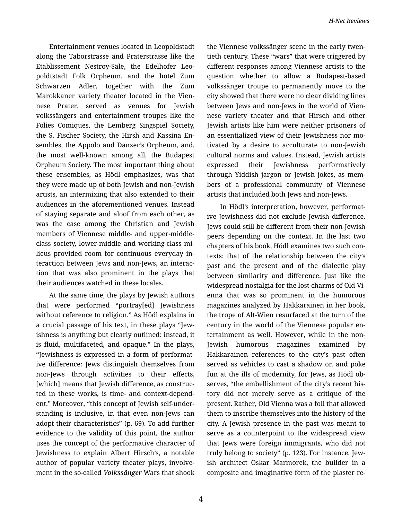Entertainment venues located in Leopoldstadt along the Taborstrasse and Praterstrasse like the Etablissement Nestroy-Säle, the Edelhofer Leo‐ poldtstadt Folk Orpheum, and the hotel Zum Schwarzen Adler, together with the Zum Marokkaner variety theater located in the Vien‐ nese Prater, served as venues for Jewish volkssängers and entertainment troupes like the Folies Comiques, the Lemberg Singspiel Society, the S. Fischer Society, the Hirsh and Kassina En‐ sembles, the Appolo and Danzer's Orpheum, and, the most well-known among all, the Budapest Orpheum Society. The most important thing about these ensembles, as Hödl emphasizes, was that they were made up of both Jewish and non-Jewish artists, an intermixing that also extended to their audiences in the aforementioned venues. Instead of staying separate and aloof from each other, as was the case among the Christian and Jewish members of Viennese middle- and upper-middleclass society, lower-middle and working-class mi‐ lieus provided room for continuous everyday in‐ teraction between Jews and non-Jews, an interac‐ tion that was also prominent in the plays that their audiences watched in these locales.

At the same time, the plays by Jewish authors that were performed "portray[ed] Jewishness without reference to religion." As Hödl explains in a crucial passage of his text, in these plays "Jew‐ ishness is anything but clearly outlined: instead, it is fluid, multifaceted, and opaque." In the plays, "Jewishness is expressed in a form of performat‐ ive difference: Jews distinguish themselves from non-Jews through activities to their effects, [which] means that Jewish difference, as construc‐ ted in these works, is time- and context-depend‐ ent." Moreover, "this concept of Jewish self-under‐ standing is inclusive, in that even non-Jews can adopt their characteristics" (p. 69). To add further evidence to the validity of this point, the author uses the concept of the performative character of Jewishness to explain Albert Hirsch's, a notable author of popular variety theater plays, involve‐ ment in the so-called *Volkssänger* Wars that shook the Viennese volkssänger scene in the early twen‐ tieth century. These "wars" that were triggered by different responses among Viennese artists to the question whether to allow a Budapest-based volkssänger troupe to permanently move to the city showed that there were no clear dividing lines between Jews and non-Jews in the world of Vien‐ nese variety theater and that Hirsch and other Jewish artists like him were neither prisoners of an essentialized view of their Jewishness nor mo‐ tivated by a desire to acculturate to non-Jewish cultural norms and values. Instead, Jewish artists expressed their Jewishness performatively through Yiddish jargon or Jewish jokes, as mem‐ bers of a professional community of Viennese artists that included both Jews and non-Jews.

In Hödl's interpretation, however, performat‐ ive Jewishness did not exclude Jewish difference. Jews could still be different from their non-Jewish peers depending on the context. In the last two chapters of his book, Hödl examines two such con‐ texts: that of the relationship between the city's past and the present and of the dialectic play between similarity and difference. Just like the widespread nostalgia for the lost charms of Old Vi‐ enna that was so prominent in the humorous magazines analyzed by Hakkarainen in her book, the trope of Alt-Wien resurfaced at the turn of the century in the world of the Viennese popular en‐ tertainment as well. However, while in the non-Jewish humorous magazines examined by Hakkarainen references to the city's past often served as vehicles to cast a shadow on and poke fun at the ills of modernity, for Jews, as Hödl ob‐ serves, "the embellishment of the city's recent his‐ tory did not merely serve as a critique of the present. Rather, Old Vienna was a foil that allowed them to inscribe themselves into the history of the city. A Jewish presence in the past was meant to serve as a counterpoint to the widespread view that Jews were foreign immigrants, who did not truly belong to society" (p. 123). For instance, Jew‐ ish architect Oskar Marmorek, the builder in a composite and imaginative form of the plaster re‐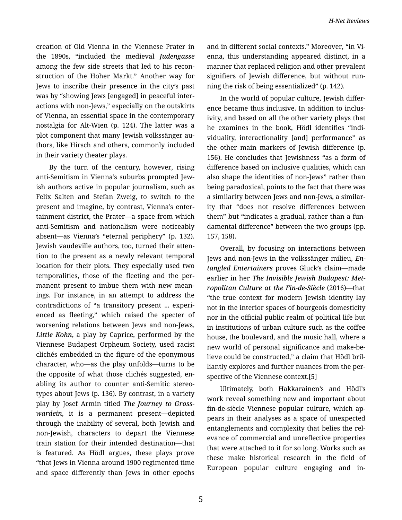creation of Old Vienna in the Viennese Prater in the 1890s, "included the medieval *Judengasse* among the few side streets that led to his recon‐ struction of the Hoher Markt." Another way for Jews to inscribe their presence in the city's past was by "showing Jews [engaged] in peaceful inter‐ actions with non-Jews," especially on the outskirts of Vienna, an essential space in the contemporary nostalgia for Alt-Wien (p. 124). The latter was a plot component that many Jewish volkssänger au‐ thors, like Hirsch and others, commonly included in their variety theater plays.

By the turn of the century, however, rising anti-Semitism in Vienna's suburbs prompted Jew‐ ish authors active in popular journalism, such as Felix Salten and Stefan Zweig, to switch to the present and imagine, by contrast, Vienna's enter‐ tainment district, the Prater—a space from which anti-Semitism and nationalism were noticeably absent—as Vienna's "eternal periphery" (p. 132). Jewish vaudeville authors, too, turned their atten‐ tion to the present as a newly relevant temporal location for their plots. They especially used two temporalities, those of the fleeting and the per‐ manent present to imbue them with new mean‐ ings. For instance, in an attempt to address the contradictions of "a transitory present ... experi‐ enced as fleeting," which raised the specter of worsening relations between Jews and non-Jews, *Little Kohn*, a play by Caprice, performed by the Viennese Budapest Orpheum Society, used racist clichés embedded in the figure of the eponymous character, who—as the play unfolds—turns to be the opposite of what those clichés suggested, en‐ abling its author to counter anti-Semitic stereo‐ types about Jews (p. 136). By contrast, in a variety play by Josef Armin titled *The Journey to Gross‐ wardein*, it is a permanent present—depicted through the inability of several, both Jewish and non-Jewish, characters to depart the Viennese train station for their intended destination—that is featured. As Hödl argues, these plays prove "that Jews in Vienna around 1900 regimented time and space differently than Jews in other epochs

and in different social contexts." Moreover, "in Vi‐ enna, this understanding appeared distinct, in a manner that replaced religion and other prevalent signifiers of Jewish difference, but without run‐ ning the risk of being essentialized" (p. 142).

In the world of popular culture, Jewish differ‐ ence became thus inclusive. In addition to inclus‐ ivity, and based on all the other variety plays that he examines in the book, Hödl identifies "indi‐ viduality, interactionality [and] performance" as the other main markers of Jewish difference (p. 156). He concludes that Jewishness "as a form of difference based on inclusive qualities, which can also shape the identities of non-Jews" rather than being paradoxical, points to the fact that there was a similarity between Jews and non-Jews, a similar‐ ity that "does not resolve differences between them" but "indicates a gradual, rather than a fun‐ damental difference" between the two groups (pp. 157, 158).

Overall, by focusing on interactions between Jews and non-Jews in the volkssänger milieu, *En‐ tangled Entertainers* proves Gluck's claim—made earlier in her *The Invisible Jewish Budapest: Met‐ ropolitan Culture at the Fin-de-Siècle* (2016)—that "the true context for modern Jewish identity lay not in the interior spaces of bourgeois domesticity nor in the official public realm of political life but in institutions of urban culture such as the coffee house, the boulevard, and the music hall, where a new world of personal significance and make-be‐ lieve could be constructed," a claim that Hödl bril‐ liantly explores and further nuances from the per‐ spective of the Viennese context.[5]

Ultimately, both Hakkarainen's and Hödl's work reveal something new and important about fin-de-siècle Viennese popular culture, which ap‐ pears in their analyses as a space of unexpected entanglements and complexity that belies the rel‐ evance of commercial and unreflective properties that were attached to it for so long. Works such as these make historical research in the field of European popular culture engaging and in‐

5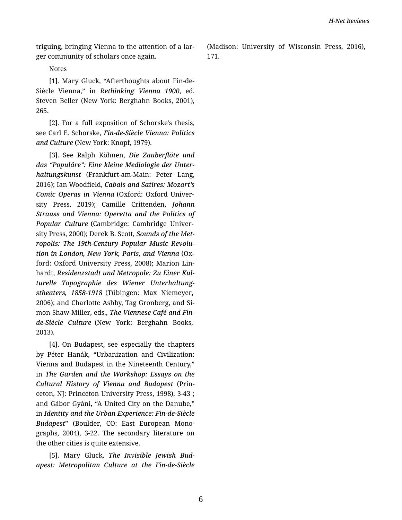triguing, bringing Vienna to the attention of a lar‐ ger community of scholars once again.

Notes

[1]. Mary Gluck, "Afterthoughts about Fin-de-Siècle Vienna," in *Rethinking Vienna 1900*, ed. Steven Beller (New York: Berghahn Books, 2001), 265.

[2]. For a full exposition of Schorske's thesis, see Carl E. Schorske, *Fin-de-Siècle Vienna: Politics and Culture* (New York: Knopf, 1979).

[3]. See Ralph Köhnen, *Die Zauberflöte und das "Populäre": Eine kleine Mediologie der Unter‐ haltungskunst* (Frankfurt-am-Main: Peter Lang, 2016); Ian Woodfield, *Cabals and Satires: Mozart's Comic Operas in Vienna* (Oxford: Oxford Univer‐ sity Press, 2019); Camille Crittenden, *Johann Strauss and Vienna: Operetta and the Politics of Popular Culture* (Cambridge: Cambridge Univer‐ sity Press, 2000); Derek B. Scott, *Sounds of the Met‐ ropolis: The 19th-Century Popular Music Revolu‐ tion in London, New York, Paris, and Vienna* (Ox‐ ford: Oxford University Press, 2008); Marion Lin‐ hardt, *Residenzstadt und Metropole: Zu Einer Kul‐ turelle Topographie des Wiener Unterhaltung‐ stheaters, 1858-1918* (Tübingen: Max Niemeyer, 2006); and Charlotte Ashby, Tag Gronberg, and Si‐ mon Shaw-Miller, eds., *The Viennese Café and Finde-Siècle Culture* (New York: Berghahn Books, 2013).

[4]. On Budapest, see especially the chapters by Péter Hanák, "Urbanization and Civilization: Vienna and Budapest in the Nineteenth Century," in *The Garden and the Workshop: Essays on the Cultural History of Vienna and Budapest* (Prin‐ ceton, NJ: Princeton University Press, 1998), 3-43 ; and Gábor Gyáni, "A United City on the Danube," in *Identity and the Urban Experience: Fin-de-Siècle Budapest*" (Boulder, CO: East European Mono‐ graphs, 2004), 3-22. The secondary literature on the other cities is quite extensive.

[5]. Mary Gluck, *The Invisible Jewish Bud‐ apest: Metropolitan Culture at the Fin-de-Siècle* (Madison: University of Wisconsin Press, 2016), 171.